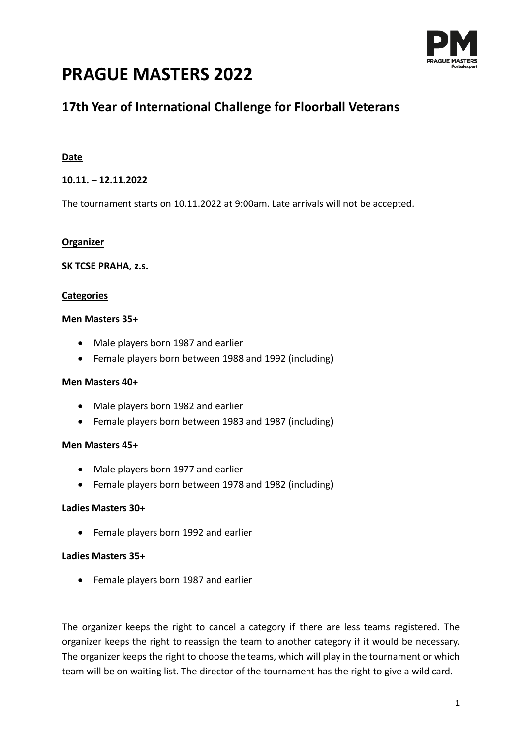

# **PRAGUE MASTERS 2022**

## **17th Year of International Challenge for Floorball Veterans**

## **Date**

## **10.11. – 12.11.2022**

The tournament starts on 10.11.2022 at 9:00am. Late arrivals will not be accepted.

#### **Organizer**

#### **SK TCSE PRAHA, z.s.**

### **Categories**

#### **Men Masters 35+**

- Male players born 1987 and earlier
- Female players born between 1988 and 1992 (including)

#### **Men Masters 40+**

- Male players born 1982 and earlier
- Female players born between 1983 and 1987 (including)

## **Men Masters 45+**

- Male players born 1977 and earlier
- Female players born between 1978 and 1982 (including)

#### **Ladies Masters 30+**

• Female players born 1992 and earlier

#### **Ladies Masters 35+**

• Female players born 1987 and earlier

The organizer keeps the right to cancel a category if there are less teams registered. The organizer keeps the right to reassign the team to another category if it would be necessary. The organizer keeps the right to choose the teams, which will play in the tournament or which team will be on waiting list. The director of the tournament has the right to give a wild card.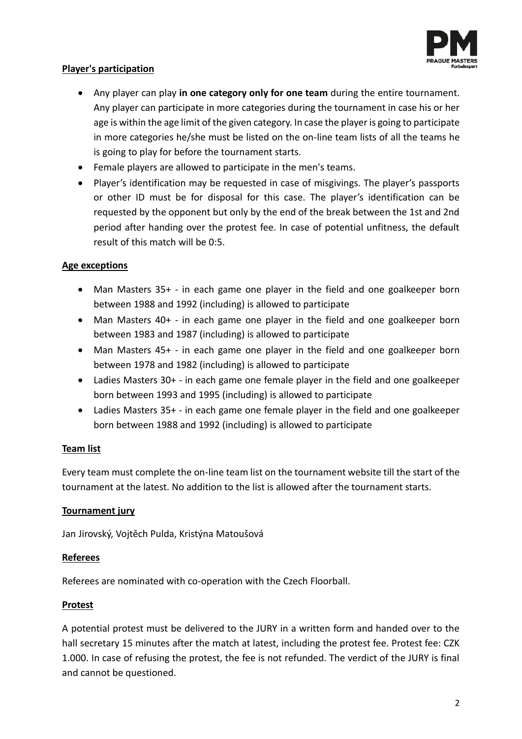

## **Player's participation**

- Any player can play **in one category only for one team** during the entire tournament. Any player can participate in more categories during the tournament in case his or her age is within the age limit of the given category. In case the player is going to participate in more categories he/she must be listed on the on-line team lists of all the teams he is going to play for before the tournament starts.
- Female players are allowed to participate in the men's teams.
- Player's identification may be requested in case of misgivings. The player's passports or other ID must be for disposal for this case. The player's identification can be requested by the opponent but only by the end of the break between the 1st and 2nd period after handing over the protest fee. In case of potential unfitness, the default result of this match will be 0:5.

### **Age exceptions**

- Man Masters 35+ in each game one player in the field and one goalkeeper born between 1988 and 1992 (including) is allowed to participate
- Man Masters 40+ in each game one player in the field and one goalkeeper born between 1983 and 1987 (including) is allowed to participate
- Man Masters 45+ in each game one player in the field and one goalkeeper born between 1978 and 1982 (including) is allowed to participate
- Ladies Masters 30+ in each game one female player in the field and one goalkeeper born between 1993 and 1995 (including) is allowed to participate
- Ladies Masters 35+ in each game one female player in the field and one goalkeeper born between 1988 and 1992 (including) is allowed to participate

## **Team list**

Every team must complete the on-line team list on the tournament website till the start of the tournament at the latest. No addition to the list is allowed after the tournament starts.

#### **Tournament jury**

Jan Jirovský, Vojtěch Pulda, Kristýna Matoušová

#### **Referees**

Referees are nominated with co-operation with the Czech Floorball.

#### **Protest**

A potential protest must be delivered to the JURY in a written form and handed over to the hall secretary 15 minutes after the match at latest, including the protest fee. Protest fee: CZK 1.000. In case of refusing the protest, the fee is not refunded. The verdict of the JURY is final and cannot be questioned.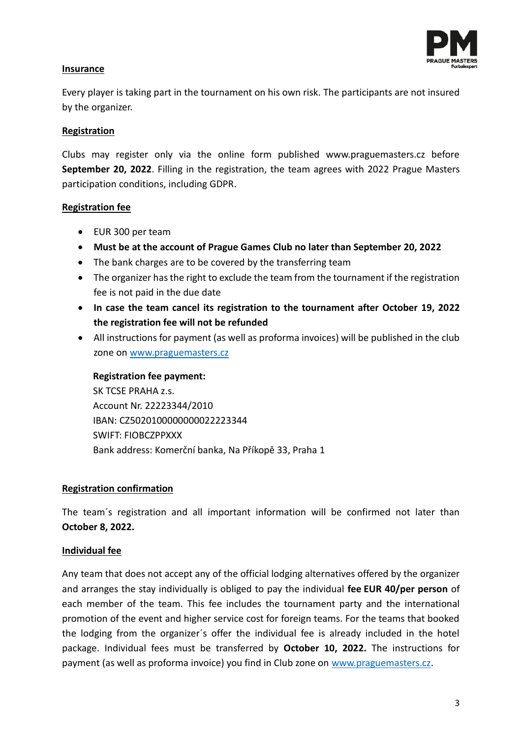

## **Insurance**

Every player is taking part in the tournament on his own risk. The participants are not insured by the organizer.

### **Registration**

Clubs may register only via the online form published www.praguemasters.cz before **September 20, 2022**. Filling in the registration, the team agrees with 2022 Prague Masters participation conditions, including GDPR.

### **Registration fee**

- EUR 300 per team
- **Must be at the account of Prague Games Club no later than September 20, 2022**
- The bank charges are to be covered by the transferring team
- The organizer has the right to exclude the team from the tournament if the registration fee is not paid in the due date
- **In case the team cancel its registration to the tournament after October 19, 2022 the registration fee will not be refunded**
- All instructions for payment (as well as proforma invoices) will be published in the club zone on [www.praguemasters.cz](http://www.praguemasters.cz/)

## **Registration fee payment:**

SK TCSE PRAHA z.s. Account Nr. 22223344/2010 IBAN: CZ5020100000000022223344 SWIFT: FIOBCZPPXXX Bank address: Komerční banka, Na Příkopě 33, Praha 1

## **Registration confirmation**

The team´s registration and all important information will be confirmed not later than **October 8, 2022.**

## **Individual fee**

Any team that does not accept any of the [official lodging](http://www.praguewheelopen.cz/pobyt) alternatives offered by the organizer and arranges the stay individually is obliged to pay the individual **fee EUR 40/per person** of each member of the team. This fee includes the tournament party and the international promotion of the event and higher service cost for foreign teams. For the teams that booked the lodging from the organizer´s offer the individual fee is already included in the hotel package. Individual fees must be transferred by **October 10, 2022.** The instructions for payment (as well as proforma invoice) you find in Club zone on [www.praguemasters.cz.](http://www.praguemasters.cz/)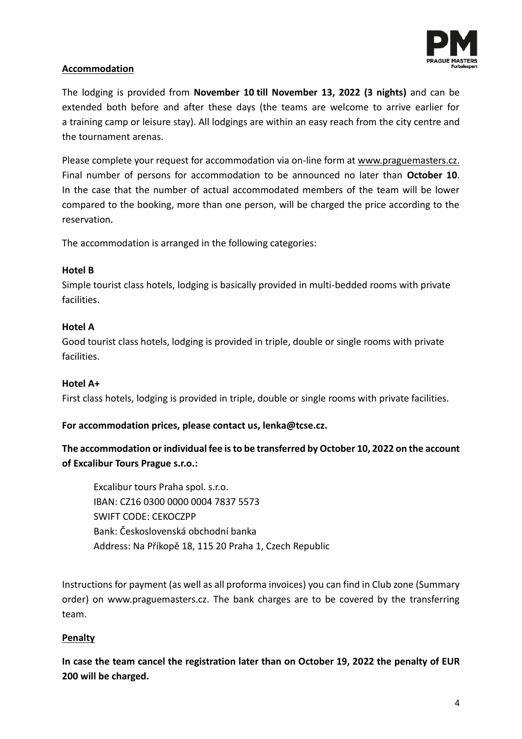

## **Accommodation**

The lodging is provided from **November 10 till November 13, 2022 (3 nights)** and can be extended both before and after these days (the teams are welcome to arrive earlier for a training camp or leisure stay). All lodgings are within an easy reach from the city centre and the tournament arenas.

Please complete your request for accommodation via on-line form at [www.praguemasters.cz.](http://www.praguemasters.cz/) Final number of persons for accommodation to be announced no later than **October 10**. In the case that the number of actual accommodated members of the team will be lower compared to the booking, more than one person, will be charged the price according to the reservation.

The accommodation is arranged in the following categories:

## **Hotel B**

Simple tourist class hotels, lodging is basically provided in multi-bedded rooms with private facilities.

## **Hotel A**

Good tourist class hotels, lodging is provided in triple, double or single rooms with private facilities.

## **Hotel A+**

First class hotels, lodging is provided in triple, double or single rooms with private facilities.

**For accommodation prices, please contact us, lenka@tcse.cz.**

## **The accommodation or individual fee is to be transferred by October 10, 2022 on the account of Excalibur Tours Prague s.r.o.:**

Excalibur tours Praha spol. s.r.o. IBAN: CZ16 0300 0000 0004 7837 5573 SWIFT CODE: CEKOCZPP Bank: Československá obchodní banka Address: Na Příkopě 18, 115 20 Praha 1, Czech Republic

Instructions for payment (as well as all proforma invoices) you can find in Club zone (Summary order) on [www.praguemasters.cz.](http://www.praguemasters.cz/) The bank charges are to be covered by the transferring team.

## **Penalty**

**In case the team cancel the registration later than on October 19, 2022 the penalty of EUR 200 will be charged.**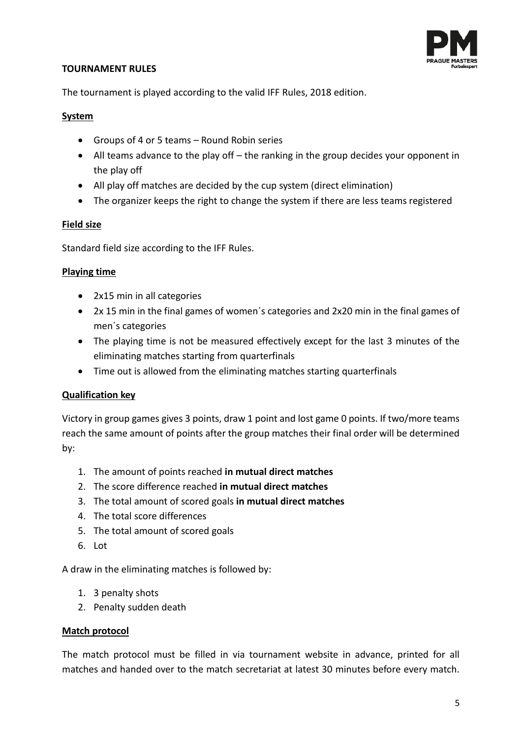

### **TOURNAMENT RULES**

The tournament is played according to the valid IFF Rules, 2018 edition.

### **System**

- Groups of 4 or 5 teams Round Robin series
- All teams advance to the play off the ranking in the group decides your opponent in the play off
- All play off matches are decided by the cup system (direct elimination)
- The organizer keeps the right to change the system if there are less teams registered

## **Field size**

Standard field size according to the IFF Rules.

### **Playing time**

- 2x15 min in all categories
- 2x 15 min in the final games of women´s categories and 2x20 min in the final games of men´s categories
- The playing time is not be measured effectively except for the last 3 minutes of the eliminating matches starting from quarterfinals
- Time out is allowed from the eliminating matches starting quarterfinals

## **Qualification key**

Victory in group games gives 3 points, draw 1 point and lost game 0 points. If two/more teams reach the same amount of points after the group matches their final order will be determined by:

- 1. The amount of points reached **in mutual direct matches**
- 2. The score difference reached **in mutual direct matches**
- 3. The total amount of scored goals **in mutual direct matches**
- 4. The total score differences
- 5. The total amount of scored goals
- 6. Lot

A draw in the eliminating matches is followed by:

- 1. 3 penalty shots
- 2. Penalty sudden death

#### **Match protocol**

The match protocol must be filled in via tournament website in advance, printed for all matches and handed over to the match secretariat at latest 30 minutes before every match.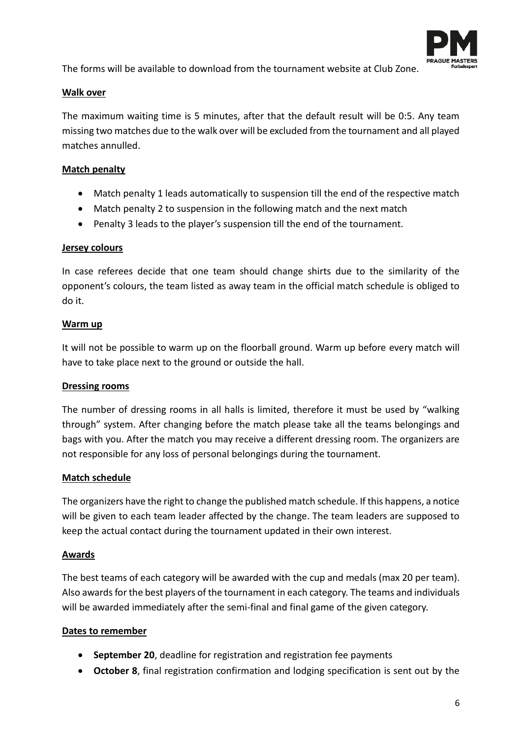

The forms will be available to download from the tournament website at Club Zone.

## **Walk over**

The maximum waiting time is 5 minutes, after that the default result will be 0:5. Any team missing two matches due to the walk over will be excluded from the tournament and all played matches annulled.

## **Match penalty**

- Match penalty 1 leads automatically to suspension till the end of the respective match
- Match penalty 2 to suspension in the following match and the next match
- Penalty 3 leads to the player's suspension till the end of the tournament.

#### **Jersey colours**

In case referees decide that one team should change shirts due to the similarity of the opponent's colours, the team listed as away team in the official match schedule is obliged to do it.

#### **Warm up**

It will not be possible to warm up on the floorball ground. Warm up before every match will have to take place next to the ground or outside the hall.

#### **Dressing rooms**

The number of dressing rooms in all halls is limited, therefore it must be used by "walking through" system. After changing before the match please take all the teams belongings and bags with you. After the match you may receive a different dressing room. The organizers are not responsible for any loss of personal belongings during the tournament.

## **Match schedule**

The organizers have the right to change the published match schedule. If this happens, a notice will be given to each team leader affected by the change. The team leaders are supposed to keep the actual contact during the tournament updated in their own interest.

## **Awards**

The best teams of each category will be awarded with the cup and medals (max 20 per team). Also awards for the best players of the tournament in each category. The teams and individuals will be awarded immediately after the semi-final and final game of the given category.

## **Dates to remember**

- **September 20**, deadline for registration and registration fee payments
- **October 8**, final registration confirmation and lodging specification is sent out by the